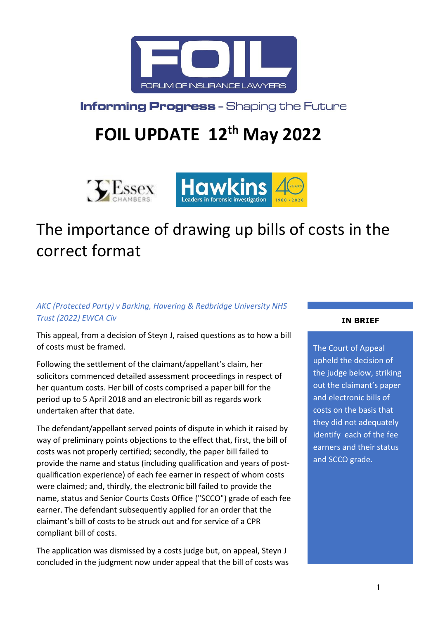

**Informing Progress - Shaping the Future** 

# **FOIL UPDATE 12th May 2022**



# The importance of drawing up bills of costs in the correct format

## *AKC (Protected Party) v Barking, Havering & Redbridge University NHS Trust (2022) EWCA Civ*

This appeal, from a decision of Steyn J, raised questions as to how a bill of costs must be framed.

Following the settlement of the claimant/appellant's claim, her solicitors commenced detailed assessment proceedings in respect of her quantum costs. Her bill of costs comprised a paper bill for the period up to 5 April 2018 and an electronic bill as regards work undertaken after that date.

The defendant/appellant served points of dispute in which it raised by way of preliminary points objections to the effect that, first, the bill of costs was not properly certified; secondly, the paper bill failed to provide the name and status (including qualification and years of postqualification experience) of each fee earner in respect of whom costs were claimed; and, thirdly, the electronic bill failed to provide the name, status and Senior Courts Costs Office ("SCCO") grade of each fee earner. The defendant subsequently applied for an order that the claimant's bill of costs to be struck out and for service of a CPR compliant bill of costs.

The application was dismissed by a costs judge but, on appeal, Steyn J concluded in the judgment now under appeal that the bill of costs was

#### **IN BRIEF**

The Court of Appeal upheld the decision of the judge below, striking out the claimant's paper and electronic bills of costs on the basis that they did not adequately identify each of the fee earners and their status and SCCO grade.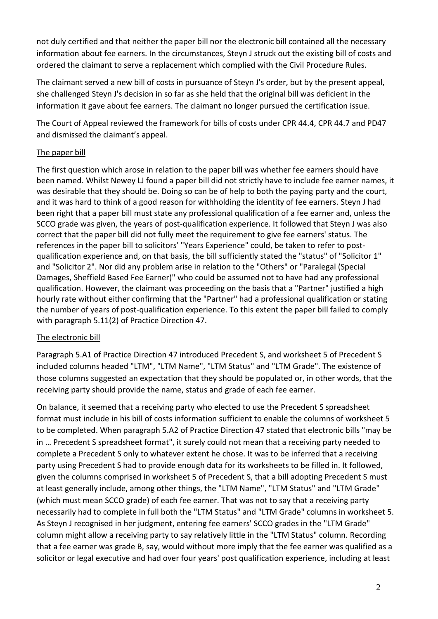not duly certified and that neither the paper bill nor the electronic bill contained all the necessary information about fee earners. In the circumstances, Steyn J struck out the existing bill of costs and ordered the claimant to serve a replacement which complied with the Civil Procedure Rules.

The claimant served a new bill of costs in pursuance of Steyn J's order, but by the present appeal, she challenged Steyn J's decision in so far as she held that the original bill was deficient in the information it gave about fee earners. The claimant no longer pursued the certification issue.

The Court of Appeal reviewed the framework for bills of costs under CPR 44.4, CPR 44.7 and PD47 and dismissed the claimant's appeal.

### The paper bill

The first question which arose in relation to the paper bill was whether fee earners should have been named. Whilst Newey LJ found a paper bill did not strictly have to include fee earner names, it was desirable that they should be. Doing so can be of help to both the paying party and the court, and it was hard to think of a good reason for withholding the identity of fee earners. Steyn J had been right that a paper bill must state any professional qualification of a fee earner and, unless the SCCO grade was given, the years of post-qualification experience. It followed that Steyn J was also correct that the paper bill did not fully meet the requirement to give fee earners' status. The references in the paper bill to solicitors' "Years Experience" could, be taken to refer to postqualification experience and, on that basis, the bill sufficiently stated the "status" of "Solicitor 1" and "Solicitor 2". Nor did any problem arise in relation to the "Others" or "Paralegal (Special Damages, Sheffield Based Fee Earner)" who could be assumed not to have had any professional qualification. However, the claimant was proceeding on the basis that a "Partner" justified a high hourly rate without either confirming that the "Partner" had a professional qualification or stating the number of years of post-qualification experience. To this extent the paper bill failed to comply with paragraph 5.11(2) of Practice Direction 47.

# The electronic bill

Paragraph 5.A1 of Practice Direction 47 introduced Precedent S, and worksheet 5 of Precedent S included columns headed "LTM", "LTM Name", "LTM Status" and "LTM Grade". The existence of those columns suggested an expectation that they should be populated or, in other words, that the receiving party should provide the name, status and grade of each fee earner.

On balance, it seemed that a receiving party who elected to use the Precedent S spreadsheet format must include in his bill of costs information sufficient to enable the columns of worksheet 5 to be completed. When paragraph 5.A2 of Practice Direction 47 stated that electronic bills "may be in … Precedent S spreadsheet format", it surely could not mean that a receiving party needed to complete a Precedent S only to whatever extent he chose. It was to be inferred that a receiving party using Precedent S had to provide enough data for its worksheets to be filled in. It followed, given the columns comprised in worksheet 5 of Precedent S, that a bill adopting Precedent S must at least generally include, among other things, the "LTM Name", "LTM Status" and "LTM Grade" (which must mean SCCO grade) of each fee earner. That was not to say that a receiving party necessarily had to complete in full both the "LTM Status" and "LTM Grade" columns in worksheet 5. As Steyn J recognised in her judgment, entering fee earners' SCCO grades in the "LTM Grade" column might allow a receiving party to say relatively little in the "LTM Status" column. Recording that a fee earner was grade B, say, would without more imply that the fee earner was qualified as a solicitor or legal executive and had over four years' post qualification experience, including at least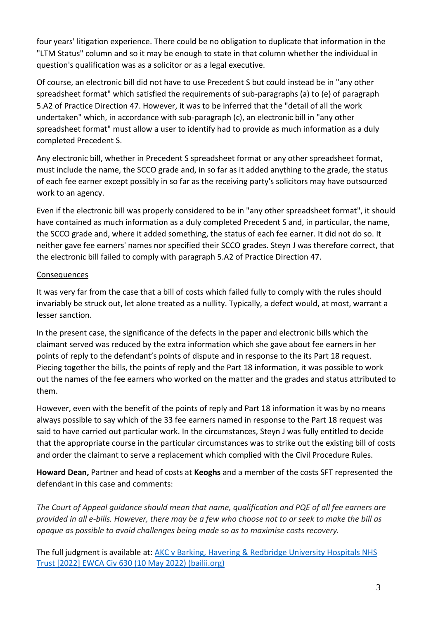four years' litigation experience. There could be no obligation to duplicate that information in the "LTM Status" column and so it may be enough to state in that column whether the individual in question's qualification was as a solicitor or as a legal executive.

Of course, an electronic bill did not have to use Precedent S but could instead be in "any other spreadsheet format" which satisfied the requirements of sub-paragraphs (a) to (e) of paragraph 5.A2 of Practice Direction 47. However, it was to be inferred that the "detail of all the work undertaken" which, in accordance with sub-paragraph (c), an electronic bill in "any other spreadsheet format" must allow a user to identify had to provide as much information as a duly completed Precedent S.

Any electronic bill, whether in Precedent S spreadsheet format or any other spreadsheet format, must include the name, the SCCO grade and, in so far as it added anything to the grade, the status of each fee earner except possibly in so far as the receiving party's solicitors may have outsourced work to an agency.

Even if the electronic bill was properly considered to be in "any other spreadsheet format", it should have contained as much information as a duly completed Precedent S and, in particular, the name, the SCCO grade and, where it added something, the status of each fee earner. It did not do so. It neither gave fee earners' names nor specified their SCCO grades. Steyn J was therefore correct, that the electronic bill failed to comply with paragraph 5.A2 of Practice Direction 47.

#### Consequences

It was very far from the case that a bill of costs which failed fully to comply with the rules should invariably be struck out, let alone treated as a nullity. Typically, a defect would, at most, warrant a lesser sanction.

In the present case, the significance of the defects in the paper and electronic bills which the claimant served was reduced by the extra information which she gave about fee earners in her points of reply to the defendant's points of dispute and in response to the its Part 18 request. Piecing together the bills, the points of reply and the Part 18 information, it was possible to work out the names of the fee earners who worked on the matter and the grades and status attributed to them.

However, even with the benefit of the points of reply and Part 18 information it was by no means always possible to say which of the 33 fee earners named in response to the Part 18 request was said to have carried out particular work. In the circumstances, Steyn J was fully entitled to decide that the appropriate course in the particular circumstances was to strike out the existing bill of costs and order the claimant to serve a replacement which complied with the Civil Procedure Rules.

**Howard Dean,** Partner and head of costs at **Keoghs** and a member of the costs SFT represented the defendant in this case and comments:

*The Court of Appeal guidance should mean that name, qualification and PQE of all fee earners are provided in all e-bills. However, there may be a few who choose not to or seek to make the bill as opaque as possible to avoid challenges being made so as to maximise costs recovery.*

The full judgment is available at: [AKC v Barking, Havering & Redbridge University Hospitals NHS](https://www.bailii.org/ew/cases/EWCA/Civ/2022/630.html)  [Trust \[2022\] EWCA Civ 630 \(10 May 2022\) \(bailii.org\)](https://www.bailii.org/ew/cases/EWCA/Civ/2022/630.html)